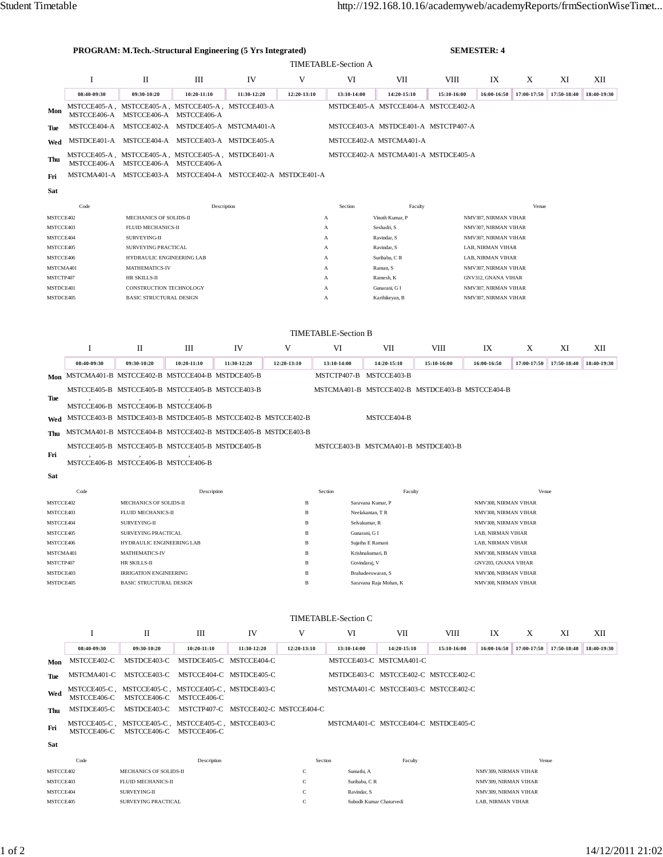|                        |                                                                                                    |                                                                                                                                                       | <b>PROGRAM: M.Tech.-Structural Engineering (5 Yrs Integrated)</b> |             |                   | <b>TIMETABLE-Section A</b>          |                                     | <b>SEMESTER: 4</b> |                                                    |             |             |             |
|------------------------|----------------------------------------------------------------------------------------------------|-------------------------------------------------------------------------------------------------------------------------------------------------------|-------------------------------------------------------------------|-------------|-------------------|-------------------------------------|-------------------------------------|--------------------|----------------------------------------------------|-------------|-------------|-------------|
|                        | $\mathbf I$                                                                                        | П                                                                                                                                                     | Ш                                                                 | IV          | V                 | VI                                  | VII                                 | VШ                 | IX                                                 | X           | XI          | XІІ         |
|                        | 08:40-09:30                                                                                        | 09:30-10:20                                                                                                                                           | 10:20-11:10                                                       | 11:30-12:20 | 12:20-13:10       | 13:10-14:00                         | 14:20-15:10                         | 15:10-16:00        | 16:00-16:50                                        | 17:00-17:50 | 17:50-18:40 | 18:40-19:30 |
| Mon                    | MSTCCE406-A                                                                                        | MSTCCE406-A                                                                                                                                           | MSTCCE405-A, MSTCCE405-A, MSTCCE405-A, MSTCCE403-A<br>MSTCCE406-A |             |                   |                                     | MSTDCE405-A MSTCCE404-A MSTCCE402-A |                    |                                                    |             |             |             |
| Tue                    |                                                                                                    |                                                                                                                                                       | MSTCCE404-A MSTCCE402-A MSTDCE405-A MSTCMA401-A                   |             |                   |                                     | MSTCCE403-A MSTDCE401-A MSTCTP407-A |                    |                                                    |             |             |             |
| Wed                    |                                                                                                    |                                                                                                                                                       | MSTDCE401-A MSTCCE404-A MSTCCE403-A MSTDCE405-A                   |             |                   | MSTCCE402-A MSTCMA401-A             |                                     |                    |                                                    |             |             |             |
| Thu                    |                                                                                                    | MSTCCE406-A MSTCCE406-A MSTCCE406-A                                                                                                                   | MSTCCE405-A, MSTCCE405-A, MSTCCE405-A, MSTDCE401-A                |             |                   | MSTCCE402-A MSTCMA401-A MSTDCE405-A |                                     |                    |                                                    |             |             |             |
| Fri                    |                                                                                                    |                                                                                                                                                       | MSTCMA401-A MSTCCE403-A MSTCCE404-A MSTCCE402-A MSTDCE401-A       |             |                   |                                     |                                     |                    |                                                    |             |             |             |
| Sat                    |                                                                                                    |                                                                                                                                                       |                                                                   |             |                   |                                     |                                     |                    |                                                    |             |             |             |
|                        | Code                                                                                               |                                                                                                                                                       | Description                                                       |             |                   | Section                             | Faculty                             |                    |                                                    | Venue       |             |             |
|                        | MSTCCE402                                                                                          | MECHANICS OF SOLIDS-II                                                                                                                                |                                                                   |             |                   | A                                   | Vinoth Kumar, P                     |                    | NMV307, NIRMAN VIHAR                               |             |             |             |
|                        | MSTCCE403                                                                                          | FLUID MECHANICS-II                                                                                                                                    |                                                                   |             |                   | А                                   | Seshadri, S                         |                    | NMV307, NIRMAN VIHAR                               |             |             |             |
|                        | MSTCCE404                                                                                          | SURVEYING-II                                                                                                                                          |                                                                   |             |                   | А                                   | Ravindar, S                         |                    | NMV307, NIRMAN VIHAR                               |             |             |             |
|                        | MSTCCE405                                                                                          | SURVEYING PRACTICAL                                                                                                                                   |                                                                   |             |                   | А                                   | Ravindar, S                         |                    | LAB, NIRMAN VIHAR                                  |             |             |             |
|                        | MSTCCE406                                                                                          | HYDRAULIC ENGINEERING LAB                                                                                                                             |                                                                   |             |                   | А                                   | Suribabu, CR                        |                    | LAB, NIRMAN VIHAR                                  |             |             |             |
|                        | MSTCMA401                                                                                          | MATHEMATICS-IV                                                                                                                                        |                                                                   |             |                   | А                                   | Raman, S                            |                    | NMV307, NIRMAN VIHAR                               |             |             |             |
|                        | MSTCTP407                                                                                          | HR SKILLS-II<br>CONSTRUCTION TECHNOLOGY                                                                                                               |                                                                   |             |                   | А                                   | Ramesh, K                           |                    | <b>GNV312, GNANA VIHAR</b><br>NMV307, NIRMAN VIHAR |             |             |             |
| MSTDCE401              | MSTDCE405                                                                                          | <b>BASIC STRUCTURAL DESIGN</b>                                                                                                                        |                                                                   |             |                   | А<br>А                              | Gunarani, G I<br>Karthikeyan, B     |                    | NMV307, NIRMAN VIHAR                               |             |             |             |
|                        |                                                                                                    |                                                                                                                                                       |                                                                   |             |                   |                                     |                                     |                    |                                                    |             |             |             |
|                        |                                                                                                    |                                                                                                                                                       |                                                                   |             |                   | <b>TIMETABLE-Section B</b>          |                                     |                    |                                                    |             |             |             |
|                        | I                                                                                                  | П                                                                                                                                                     | Ш                                                                 | IV          | V                 | VI                                  | VII                                 | VIII               | IX                                                 | X           | XI          | XІІ         |
|                        | 08:40-09:30                                                                                        | 09:30-10:20                                                                                                                                           | 10:20-11:10                                                       | 11:30-12:20 | 12:20-13:10       | 13:10-14:00                         | 14:20-15:10                         | 15:10-16:00        | 16:00-16:50                                        | 17:00-17:50 | 17:50-18:40 | 18:40-19:30 |
|                        |                                                                                                    |                                                                                                                                                       | Mon MSTCMA401-B MSTCCE402-B MSTCCE404-B MSTDCE405-B               |             |                   | MSTCTP407-B MSTCCE403-B             |                                     |                    |                                                    |             |             |             |
|                        | MSTCCE405-B MSTCCE405-B MSTCCE405-B MSTCCE403-B<br>MSTCMA401-B MSTCCE402-B MSTDCE403-B MSTCCE404-B |                                                                                                                                                       |                                                                   |             |                   |                                     |                                     |                    |                                                    |             |             |             |
| Tue                    |                                                                                                    | MSTCCE406-B MSTCCE406-B MSTCCE406-B                                                                                                                   |                                                                   |             |                   |                                     |                                     |                    |                                                    |             |             |             |
| Wed                    |                                                                                                    |                                                                                                                                                       | MSTCCE403-B MSTDCE403-B MSTDCE405-B MSTCCE402-B MSTCCE402-B       |             |                   |                                     | MSTCCE404-B                         |                    |                                                    |             |             |             |
| Thu                    |                                                                                                    |                                                                                                                                                       |                                                                   |             |                   |                                     |                                     |                    |                                                    |             |             |             |
|                        |                                                                                                    | MSTCMA401-B MSTCCE404-B MSTCCE402-B MSTDCE405-B MSTDCE403-B<br>MSTCCE405-B MSTCCE405-B MSTCCE405-B MSTDCE405-B<br>MSTCCE403-B MSTCMA401-B MSTDCE403-B |                                                                   |             |                   |                                     |                                     |                    |                                                    |             |             |             |
| Fri                    |                                                                                                    | MSTCCE406-B MSTCCE406-B MSTCCE406-B                                                                                                                   |                                                                   |             |                   |                                     |                                     |                    |                                                    |             |             |             |
| Sat                    |                                                                                                    |                                                                                                                                                       |                                                                   |             |                   |                                     |                                     |                    |                                                    |             |             |             |
|                        | Code                                                                                               |                                                                                                                                                       | Description                                                       |             |                   | Section                             | Faculty                             |                    |                                                    | Venue       |             |             |
|                        | MSTCCE402                                                                                          | MECHANICS OF SOLIDS-II                                                                                                                                |                                                                   |             | B                 |                                     | Saravana Kumar, P                   |                    | NMV308, NIRMAN VIHAR                               |             |             |             |
|                        | MSTCCE403                                                                                          | FLUID MECHANICS-II                                                                                                                                    |                                                                   |             | $\mathbf B$       |                                     | Neelakantan, TR                     |                    | NMV308, NIRMAN VIHAR                               |             |             |             |
|                        | MSTCCE404                                                                                          | SURVEYING-II                                                                                                                                          |                                                                   |             | B                 | Selvakumar, R                       |                                     |                    | NMV308, NIRMAN VIHAR                               |             |             |             |
|                        | MSTCCE405                                                                                          | SURVEYING PRACTICAL                                                                                                                                   |                                                                   |             | $\, {\bf B}$      | Gunarani, G I                       |                                     |                    | LAB, NIRMAN VIHAR                                  |             |             |             |
|                        | MSTCCE406                                                                                          | HYDRAULIC ENGINEERING LAB                                                                                                                             |                                                                   |             | $\, {\bf B}$<br>B | Sujatha E Ramani                    |                                     |                    | LAB, NIRMAN VIHAR<br>NMV308, NIRMAN VIHAR          |             |             |             |
| MSTCMA401<br>MSTCTP407 |                                                                                                    | MATHEMATICS-IV<br>HR SKILLS-II                                                                                                                        |                                                                   |             | B                 | Krishnakumari, B<br>Govindaraj, V   |                                     |                    | GNV203, GNANA VIHAR                                |             |             |             |
|                        | MSTDCE403                                                                                          | <b>IRRIGATION ENGINEERING</b>                                                                                                                         |                                                                   |             | $\, {\bf B}$      | Brahadeeswaran, S                   |                                     |                    | NMV308, NIRMAN VIHAR                               |             |             |             |
| MSTDCE405              |                                                                                                    | <b>BASIC STRUCTURAL DESIGN</b>                                                                                                                        |                                                                   |             | $\, {\bf B}$      | Saravana Raja Mohan, K              |                                     |                    | NMV308, NIRMAN VIHAR                               |             |             |             |
|                        |                                                                                                    |                                                                                                                                                       |                                                                   |             |                   |                                     |                                     |                    |                                                    |             |             |             |
| TIMETABLE-Section C    |                                                                                                    |                                                                                                                                                       |                                                                   |             |                   |                                     |                                     |                    |                                                    |             |             |             |
|                        | Ι                                                                                                  | П                                                                                                                                                     | Ш                                                                 | IV          | V                 | VI                                  | VІІ                                 | VIII               | IX                                                 | X           | XI          | XІІ         |
|                        | 08:40-09:30                                                                                        | 09:30-10:20                                                                                                                                           | 10:20-11:10                                                       | 11:30-12:20 | 12:20-13:10       | 13:10-14:00                         | 14:20-15:10                         | 15:10-16:00        | 16:00-16:50                                        | 17:00-17:50 | 17:50-18:40 | 18:40-19:30 |
| Mon                    | MSTCCE402-C                                                                                        | MSTDCE403-C                                                                                                                                           | MSTDCE405-C MSTCCE404-C                                           |             |                   |                                     | MSTCCE403-C MSTCMA401-C             |                    |                                                    |             |             |             |
| Tue                    | MSTCMA401-C                                                                                        | MSTCCE403-C                                                                                                                                           | MSTCCE404-C MSTDCE405-C                                           |             |                   |                                     | MSTDCE403-C MSTCCE402-C MSTCCE402-C |                    |                                                    |             |             |             |
| Wed                    | MSTCCE405-C,<br>MSTCCE406-C                                                                        | MSTCCE406-C                                                                                                                                           | MSTCCE405-C, MSTCCE405-C, MSTDCE403-C<br>MSTCCE406-C              |             |                   |                                     | MSTCMA401-C MSTCCE403-C MSTCCE402-C |                    |                                                    |             |             |             |
| Thu                    | MSTDCE405-C                                                                                        | MSTDCE403-C                                                                                                                                           | MSTCTP407-C MSTCCE402-C MSTCCE404-C                               |             |                   |                                     |                                     |                    |                                                    |             |             |             |
|                        |                                                                                                    |                                                                                                                                                       | MSTCCE405-C, MSTCCE405-C, MSTCCE405-C, MSTCCE403-C                |             |                   |                                     | MSTCMA401-C MSTCCE404-C MSTDCE405-C |                    |                                                    |             |             |             |

**Fri** MSTCCE405-C , MSTCCE406-C MSTCCE405-C , MSTCCE406-C MSTCCE405-C , MSTCCE406-C

**Sat**

Code Description Section Faculty Venue MSTCCE402 MECHANICS OF SOLIDS-II C Sumathi, A NMV309, NIRMAN VIHAR MSTCCE403 FLUID MECHANICS-II C Suribabu, C R NMV309, NIRMAN VIHAR MSTCCE404 SURVEYING-II C Ravindar, S NMV309, NIRMAN VIHAR MSTCCE405 SURVEYING PRACTICAL C Subodh Kumar Chaturvedi LAB, NIRMAN VIHAR